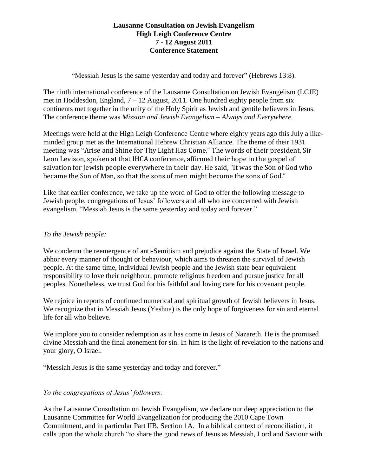## **Lausanne Consultation on Jewish Evangelism High Leigh Conference Centre 7 - 12 August 2011 Conference Statement**

"Messiah Jesus is the same yesterday and today and forever" (Hebrews 13:8).

The ninth international conference of the Lausanne Consultation on Jewish Evangelism (LCJE) met in Hoddesdon, England, 7 – 12 August, 2011. One hundred eighty people from six continents met together in the unity of the Holy Spirit as Jewish and gentile believers in Jesus. The conference theme was *Mission and Jewish Evangelism – Always and Everywhere.*

Meetings were held at the High Leigh Conference Centre where eighty years ago this July a likeminded group met as the International Hebrew Christian Alliance. The theme of their 1931 meeting was "Arise and Shine for Thy Light Has Come." The words of their president, Sir Leon Levison, spoken at that IHCA conference, affirmed their hope in the gospel of salvation for Jewish people everywhere in their day. He said, "It was the Son of God who became the Son of Man, so that the sons of men might become the sons of God."

Like that earlier conference, we take up the word of God to offer the following message to Jewish people, congregations of Jesus' followers and all who are concerned with Jewish evangelism. "Messiah Jesus is the same yesterday and today and forever."

## *To the Jewish people:*

We condemn the reemergence of anti-Semitism and prejudice against the State of Israel. We abhor every manner of thought or behaviour, which aims to threaten the survival of Jewish people. At the same time, individual Jewish people and the Jewish state bear equivalent responsibility to love their neighbour, promote religious freedom and pursue justice for all peoples. Nonetheless, we trust God for his faithful and loving care for his covenant people.

We rejoice in reports of continued numerical and spiritual growth of Jewish believers in Jesus. We recognize that in Messiah Jesus (Yeshua) is the only hope of forgiveness for sin and eternal life for all who believe.

We implore you to consider redemption as it has come in Jesus of Nazareth. He is the promised divine Messiah and the final atonement for sin. In him is the light of revelation to the nations and your glory, O Israel.

"Messiah Jesus is the same yesterday and today and forever."

## *To the congregations of Jesus' followers:*

As the Lausanne Consultation on Jewish Evangelism, we declare our deep appreciation to the Lausanne Committee for World Evangelization for producing the 2010 Cape Town Commitment, and in particular Part IIB, Section 1A. In a biblical context of reconciliation, it calls upon the whole church "to share the good news of Jesus as Messiah, Lord and Saviour with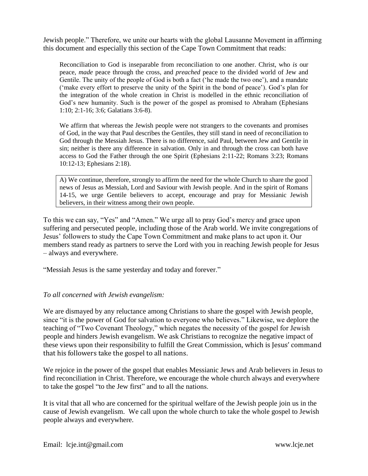Jewish people." Therefore, we unite our hearts with the global Lausanne Movement in affirming this document and especially this section of the Cape Town Commitment that reads:

Reconciliation to God is inseparable from reconciliation to one another. Christ, who *is* our peace, *made* peace through the cross, and *preached* peace to the divided world of Jew and Gentile. The unity of the people of God is both a fact ('he made the two one'), and a mandate ('make every effort to preserve the unity of the Spirit in the bond of peace'). God's plan for the integration of the whole creation in Christ is modelled in the ethnic reconciliation of God's new humanity. Such is the power of the gospel as promised to Abraham (Ephesians 1:10; 2:1-16; 3:6; Galatians 3:6-8).

We affirm that whereas the Jewish people were not strangers to the covenants and promises of God, in the way that Paul describes the Gentiles, they still stand in need of reconciliation to God through the Messiah Jesus. There is no difference, said Paul, between Jew and Gentile in sin; neither is there any difference in salvation. Only in and through the cross can both have access to God the Father through the one Spirit (Ephesians 2:11-22; Romans 3:23; Romans 10:12-13; Ephesians 2:18).

A) We continue, therefore, strongly to affirm the need for the whole Church to share the good news of Jesus as Messiah, Lord and Saviour with Jewish people. And in the spirit of Romans 14-15, we urge Gentile believers to accept, encourage and pray for Messianic Jewish believers, in their witness among their own people.

To this we can say, "Yes" and "Amen." We urge all to pray God's mercy and grace upon suffering and persecuted people, including those of the Arab world. We invite congregations of Jesus' followers to study the Cape Town Commitment and make plans to act upon it. Our members stand ready as partners to serve the Lord with you in reaching Jewish people for Jesus – always and everywhere.

"Messiah Jesus is the same yesterday and today and forever."

## *To all concerned with Jewish evangelism:*

We are dismayed by any reluctance among Christians to share the gospel with Jewish people, since "it is the power of God for salvation to everyone who believes." Likewise, we deplore the teaching of "Two Covenant Theology," which negates the necessity of the gospel for Jewish people and hinders Jewish evangelism. We ask Christians to recognize the negative impact of these views upon their responsibility to fulfill the Great Commission, which is Jesus' command that his followers take the gospel to all nations.

We rejoice in the power of the gospel that enables Messianic Jews and Arab believers in Jesus to find reconciliation in Christ. Therefore, we encourage the whole church always and everywhere to take the gospel "to the Jew first" and to all the nations.

It is vital that all who are concerned for the spiritual welfare of the Jewish people join us in the cause of Jewish evangelism. We call upon the whole church to take the whole gospel to Jewish people always and everywhere.